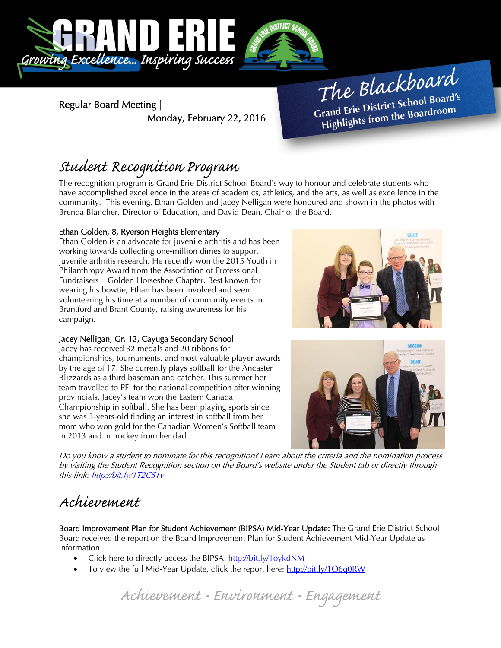

Regular Board Meeting | Monday, February 22, 2016

The Blackboard The Burner of Board's<br>Grand Erie District School Board's rand Erie District Schoor Board<br>Highlights from the Boardroom

# Student Recognition Program

The recognition program is Grand Erie District School Board's way to honour and celebrate students who have accomplished excellence in the areas of academics, athletics, and the arts, as well as excellence in the community. This evening, Ethan Golden and Jacey Nelligan were honoured and shown in the photos with Brenda Blancher, Director of Education, and David Dean, Chair of the Board.

### Ethan Golden, 8, Ryerson Heights Elementary

Ethan Golden is an advocate for juvenile arthritis and has been working towards collecting one-million dimes to support juvenile arthritis research. He recently won the 2015 Youth in Philanthropy Award from the Association of Professional Fundraisers – Golden Horseshoe Chapter. Best known for wearing his bowtie, Ethan has been involved and seen volunteering his time at a number of community events in Brantford and Brant County, raising awareness for his campaign.

### Jacey Nelligan, Gr. 12, Cayuga Secondary School

Jacey has received 32 medals and 20 ribbons for championships, tournaments, and most valuable player awards by the age of 17. She currently plays softball for the Ancaster Blizzards as a third baseman and catcher. This summer her team travelled to PEI for the national competition after winning provincials. Jacey's team won the Eastern Canada Championship in softball. She has been playing sports since she was 3-years-old finding an interest in softball from her mom who won gold for the Canadian Women's Softball team in 2013 and in hockey from her dad.





Do you know a student to nominate for this recognition? Learn about the criteria and the nomination process by visiting the Student Recognition section on the Board's website under the Student tab or directly through this link: http://bit.ly/1T2CS1v

## Achievement

Board Improvement Plan for Student Achievement (BIPSA) Mid-Year Update: The Grand Erie District School Board received the report on the Board Improvement Plan for Student Achievement Mid-Year Update as information.

- Click here to directly access the BIPSA: http://bit.ly/1oykdNM
- To view the full Mid-Year Update, click the report here: http://bit.ly/1Q6q0RW

Achievement • Environment • Engagement